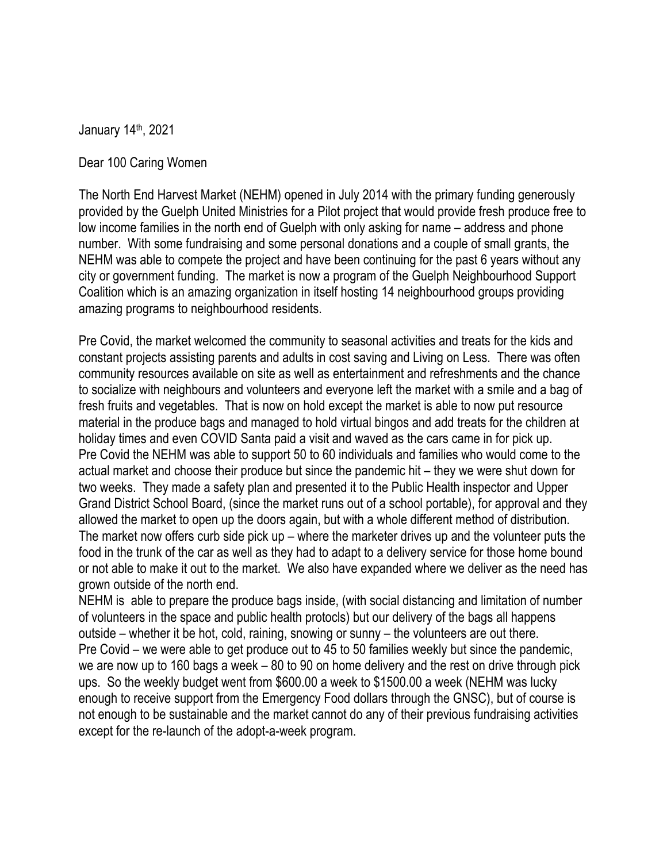January 14th, 2021

Dear 100 Caring Women

The North End Harvest Market (NEHM) opened in July 2014 with the primary funding generously provided by the Guelph United Ministries for a Pilot project that would provide fresh produce free to low income families in the north end of Guelph with only asking for name – address and phone number. With some fundraising and some personal donations and a couple of small grants, the NEHM was able to compete the project and have been continuing for the past 6 years without any city or government funding. The market is now a program of the Guelph Neighbourhood Support Coalition which is an amazing organization in itself hosting 14 neighbourhood groups providing amazing programs to neighbourhood residents.

Pre Covid, the market welcomed the community to seasonal activities and treats for the kids and constant projects assisting parents and adults in cost saving and Living on Less. There was often community resources available on site as well as entertainment and refreshments and the chance to socialize with neighbours and volunteers and everyone left the market with a smile and a bag of fresh fruits and vegetables. That is now on hold except the market is able to now put resource material in the produce bags and managed to hold virtual bingos and add treats for the children at holiday times and even COVID Santa paid a visit and waved as the cars came in for pick up. Pre Covid the NEHM was able to support 50 to 60 individuals and families who would come to the actual market and choose their produce but since the pandemic hit – they we were shut down for two weeks. They made a safety plan and presented it to the Public Health inspector and Upper Grand District School Board, (since the market runs out of a school portable), for approval and they allowed the market to open up the doors again, but with a whole different method of distribution. The market now offers curb side pick up – where the marketer drives up and the volunteer puts the food in the trunk of the car as well as they had to adapt to a delivery service for those home bound or not able to make it out to the market. We also have expanded where we deliver as the need has grown outside of the north end.

NEHM is able to prepare the produce bags inside, (with social distancing and limitation of number of volunteers in the space and public health protocls) but our delivery of the bags all happens outside – whether it be hot, cold, raining, snowing or sunny – the volunteers are out there. Pre Covid – we were able to get produce out to 45 to 50 families weekly but since the pandemic, we are now up to 160 bags a week – 80 to 90 on home delivery and the rest on drive through pick ups. So the weekly budget went from \$600.00 a week to \$1500.00 a week (NEHM was lucky enough to receive support from the Emergency Food dollars through the GNSC), but of course is not enough to be sustainable and the market cannot do any of their previous fundraising activities except for the re-launch of the adopt-a-week program.